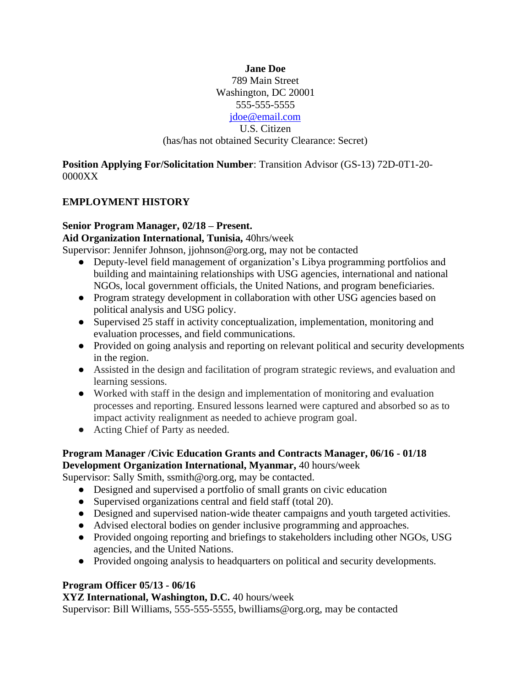**Jane Doe** 789 Main Street Washington, DC 20001 555-555-5555 [jdoe@email.com](mailto:jdoe@email.com) U.S. Citizen (has/has not obtained Security Clearance: Secret)

**Position Applying For/Solicitation Number**: Transition Advisor (GS-13) 72D-0T1-20- 0000XX

### **EMPLOYMENT HISTORY**

#### **Senior Program Manager, 02/18 – Present.**

**Aid Organization International, Tunisia,** 40hrs/week

Supervisor: Jennifer Johnson, jjohnson@org.org, may not be contacted

- Deputy-level field management of organization's Libya programming portfolios and building and maintaining relationships with USG agencies, international and national NGOs, local government officials, the United Nations, and program beneficiaries.
- Program strategy development in collaboration with other USG agencies based on political analysis and USG policy.
- Supervised 25 staff in activity conceptualization, implementation, monitoring and evaluation processes, and field communications.
- Provided on going analysis and reporting on relevant political and security developments in the region.
- Assisted in the design and facilitation of program strategic reviews, and evaluation and learning sessions.
- Worked with staff in the design and implementation of monitoring and evaluation processes and reporting. Ensured lessons learned were captured and absorbed so as to impact activity realignment as needed to achieve program goal.
- Acting Chief of Party as needed.

#### **Program Manager /Civic Education Grants and Contracts Manager, 06/16 - 01/18 Development Organization International, Myanmar,** 40 hours/week

Supervisor: Sally Smith, ssmith@org.org, may be contacted.

- Designed and supervised a portfolio of small grants on civic education
- Supervised organizations central and field staff (total 20).
- Designed and supervised nation-wide theater campaigns and youth targeted activities.
- Advised electoral bodies on gender inclusive programming and approaches.
- Provided ongoing reporting and briefings to stakeholders including other NGOs, USG agencies, and the United Nations.
- Provided ongoing analysis to headquarters on political and security developments.

#### **Program Officer 05/13 - 06/16**

**XYZ International, Washington, D.C.** 40 hours/week

Supervisor: Bill Williams, 555-555-5555, bwilliams@org.org, may be contacted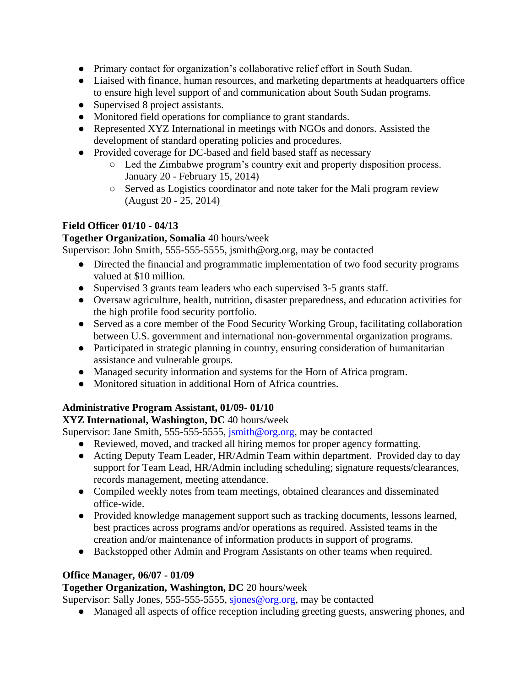- Primary contact for organization's collaborative relief effort in South Sudan.
- Liaised with finance, human resources, and marketing departments at headquarters office to ensure high level support of and communication about South Sudan programs.
- Supervised 8 project assistants.
- Monitored field operations for compliance to grant standards.
- Represented XYZ International in meetings with NGOs and donors. Assisted the development of standard operating policies and procedures.
- Provided coverage for DC-based and field based staff as necessary
	- Led the Zimbabwe program's country exit and property disposition process. January 20 - February 15, 2014)
	- Served as Logistics coordinator and note taker for the Mali program review (August 20 - 25, 2014)

# **Field Officer 01/10 - 04/13**

### **Together Organization, Somalia** 40 hours/week

Supervisor: John Smith, 555-555-5555, jsmith@org.org, may be contacted

- Directed the financial and programmatic implementation of two food security programs valued at \$10 million.
- Supervised 3 grants team leaders who each supervised 3-5 grants staff.
- Oversaw agriculture, health, nutrition, disaster preparedness, and education activities for the high profile food security portfolio.
- Served as a core member of the Food Security Working Group, facilitating collaboration between U.S. government and international non-governmental organization programs.
- Participated in strategic planning in country, ensuring consideration of humanitarian assistance and vulnerable groups.
- Managed security information and systems for the Horn of Africa program.
- Monitored situation in additional Horn of Africa countries.

# **Administrative Program Assistant, 01/09- 01/10**

# **XYZ International, Washington, DC** 40 hours/week

Supervisor: Jane Smith, 555-555-5555, jsmith@org.org, may be contacted

- Reviewed, moved, and tracked all hiring memos for proper agency formatting.
- Acting Deputy Team Leader, HR/Admin Team within department. Provided day to day support for Team Lead, HR/Admin including scheduling; signature requests/clearances, records management, meeting attendance.
- Compiled weekly notes from team meetings, obtained clearances and disseminated office-wide.
- Provided knowledge management support such as tracking documents, lessons learned, best practices across programs and/or operations as required. Assisted teams in the creation and/or maintenance of information products in support of programs.
- Backstopped other Admin and Program Assistants on other teams when required.

# **Office Manager***,* **06/07 - 01/09**

# **Together Organization, Washington, DC** 20 hours/week

Supervisor: Sally Jones, 555-555-5555, sjones@org.org, may be contacted

● Managed all aspects of office reception including greeting guests, answering phones, and